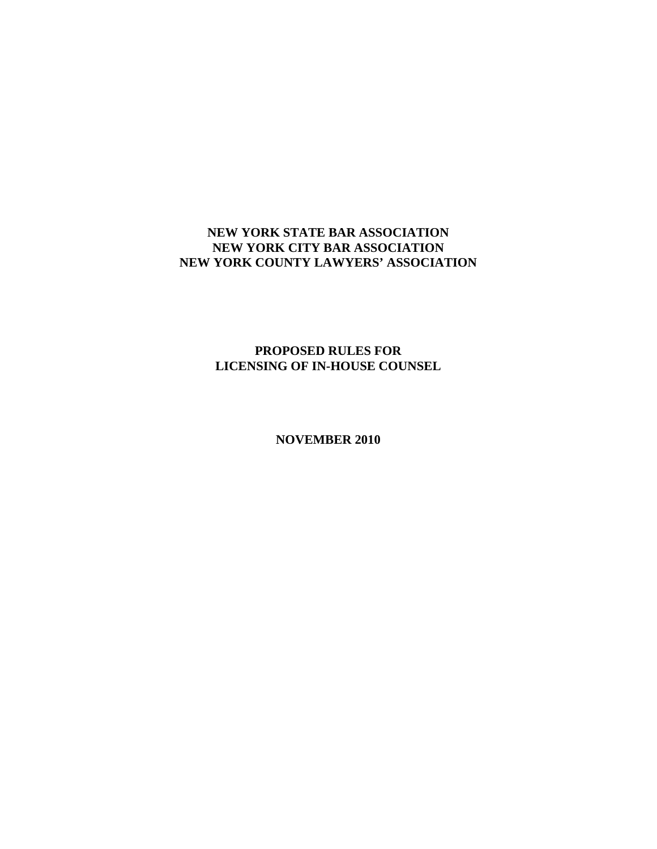# **NEW YORK STATE BAR ASSOCIATION NEW YORK CITY BAR ASSOCIATION NEW YORK COUNTY LAWYERS' ASSOCIATION**

# **PROPOSED RULES FOR LICENSING OF IN-HOUSE COUNSEL**

**NOVEMBER 2010**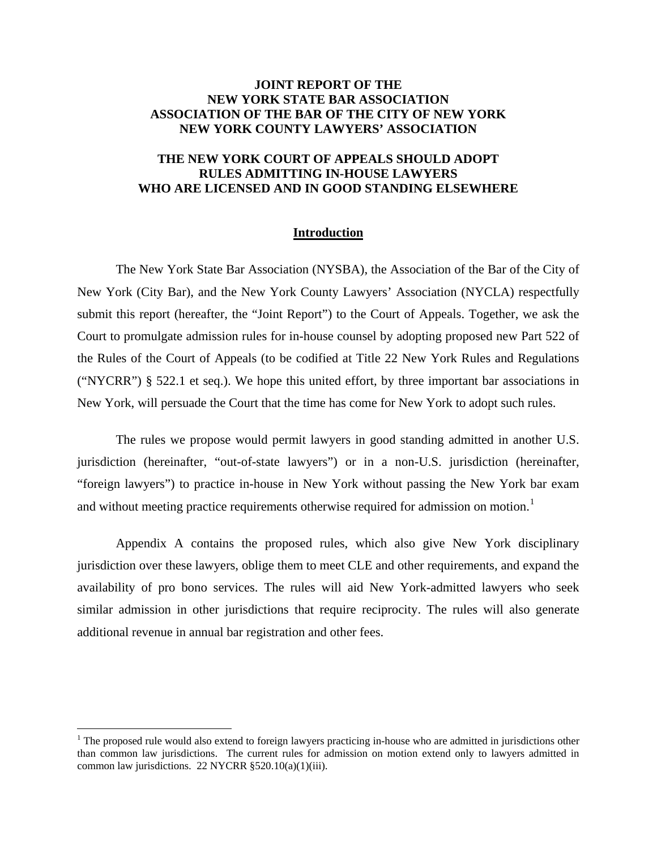### **JOINT REPORT OF THE NEW YORK STATE BAR ASSOCIATION ASSOCIATION OF THE BAR OF THE CITY OF NEW YORK NEW YORK COUNTY LAWYERS' ASSOCIATION**

## **THE NEW YORK COURT OF APPEALS SHOULD ADOPT RULES ADMITTING IN-HOUSE LAWYERS WHO ARE LICENSED AND IN GOOD STANDING ELSEWHERE**

### **Introduction**

The New York State Bar Association (NYSBA), the Association of the Bar of the City of New York (City Bar), and the New York County Lawyers' Association (NYCLA) respectfully submit this report (hereafter, the "Joint Report") to the Court of Appeals. Together, we ask the Court to promulgate admission rules for in-house counsel by adopting proposed new Part 522 of the Rules of the Court of Appeals (to be codified at Title 22 New York Rules and Regulations ("NYCRR") § 522.1 et seq.). We hope this united effort, by three important bar associations in New York, will persuade the Court that the time has come for New York to adopt such rules.

The rules we propose would permit lawyers in good standing admitted in another U.S. jurisdiction (hereinafter, "out-of-state lawyers") or in a non-U.S. jurisdiction (hereinafter, "foreign lawyers") to practice in-house in New York without passing the New York bar exam and without meeting practice requirements otherwise required for admission on motion.<sup>1</sup>

Appendix A contains the proposed rules, which also give New York disciplinary jurisdiction over these lawyers, oblige them to meet CLE and other requirements, and expand the availability of pro bono services. The rules will aid New York-admitted lawyers who seek similar admission in other jurisdictions that require reciprocity. The rules will also generate additional revenue in annual bar registration and other fees.

 $1$  The proposed rule would also extend to foreign lawyers practicing in-house who are admitted in jurisdictions other than common law jurisdictions. The current rules for admission on motion extend only to lawyers admitted in common law jurisdictions. 22 NYCRR §520.10(a)(1)(iii).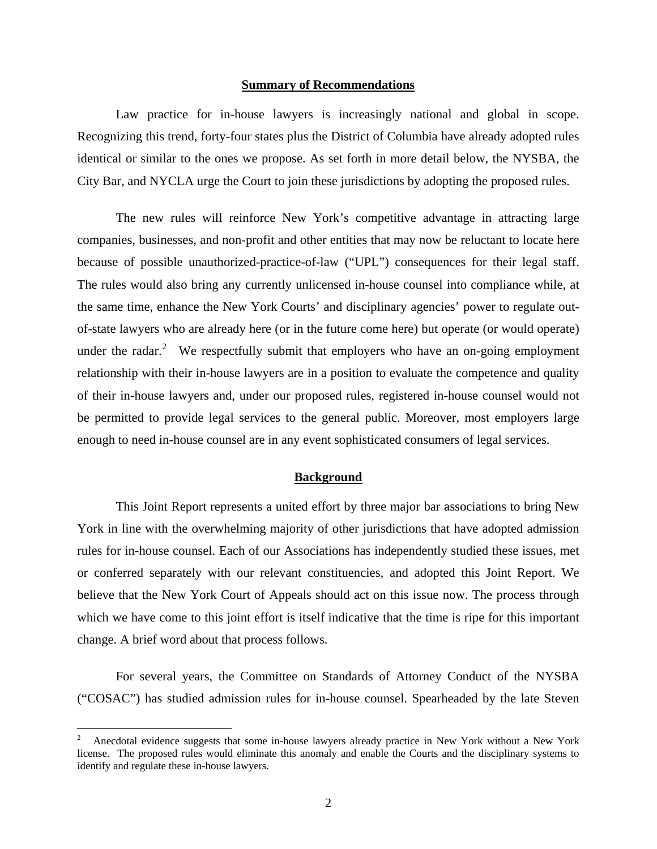#### **Summary of Recommendations**

Law practice for in-house lawyers is increasingly national and global in scope. Recognizing this trend, forty-four states plus the District of Columbia have already adopted rules identical or similar to the ones we propose. As set forth in more detail below, the NYSBA, the City Bar, and NYCLA urge the Court to join these jurisdictions by adopting the proposed rules.

The new rules will reinforce New York's competitive advantage in attracting large companies, businesses, and non-profit and other entities that may now be reluctant to locate here because of possible unauthorized-practice-of-law ("UPL") consequences for their legal staff. The rules would also bring any currently unlicensed in-house counsel into compliance while, at the same time, enhance the New York Courts' and disciplinary agencies' power to regulate outof-state lawyers who are already here (or in the future come here) but operate (or would operate) under the radar.<sup>2</sup> We respectfully submit that employers who have an on-going employment relationship with their in-house lawyers are in a position to evaluate the competence and quality of their in-house lawyers and, under our proposed rules, registered in-house counsel would not be permitted to provide legal services to the general public. Moreover, most employers large enough to need in-house counsel are in any event sophisticated consumers of legal services.

### **Background**

This Joint Report represents a united effort by three major bar associations to bring New York in line with the overwhelming majority of other jurisdictions that have adopted admission rules for in-house counsel. Each of our Associations has independently studied these issues, met or conferred separately with our relevant constituencies, and adopted this Joint Report. We believe that the New York Court of Appeals should act on this issue now. The process through which we have come to this joint effort is itself indicative that the time is ripe for this important change. A brief word about that process follows.

For several years, the Committee on Standards of Attorney Conduct of the NYSBA ("COSAC") has studied admission rules for in-house counsel. Spearheaded by the late Steven

<sup>2</sup> Anecdotal evidence suggests that some in-house lawyers already practice in New York without a New York license. The proposed rules would eliminate this anomaly and enable the Courts and the disciplinary systems to identify and regulate these in-house lawyers.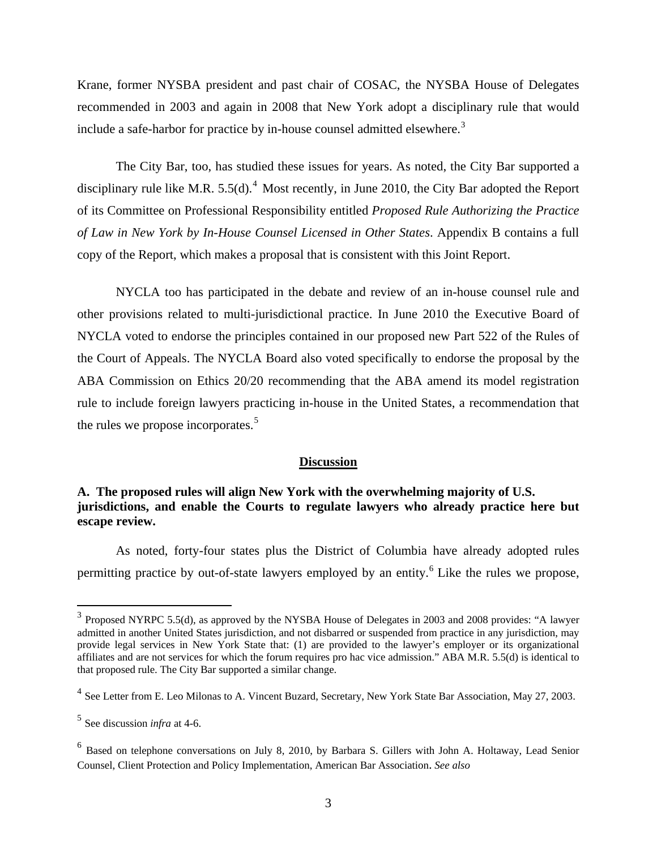Krane, former NYSBA president and past chair of COSAC, the NYSBA House of Delegates recommended in 2003 and again in 2008 that New York adopt a disciplinary rule that would include a safe-harbor for practice by in-house counsel admitted elsewhere.<sup>3</sup>

The City Bar, too, has studied these issues for years. As noted, the City Bar supported a disciplinary rule like M.R.  $5.5(d)$ .<sup>4</sup> Most recently, in June 2010, the City Bar adopted the Report of its Committee on Professional Responsibility entitled *Proposed Rule Authorizing the Practice of Law in New York by In-House Counsel Licensed in Other States*. Appendix B contains a full copy of the Report, which makes a proposal that is consistent with this Joint Report.

NYCLA too has participated in the debate and review of an in-house counsel rule and other provisions related to multi-jurisdictional practice. In June 2010 the Executive Board of NYCLA voted to endorse the principles contained in our proposed new Part 522 of the Rules of the Court of Appeals. The NYCLA Board also voted specifically to endorse the proposal by the ABA Commission on Ethics 20/20 recommending that the ABA amend its model registration rule to include foreign lawyers practicing in-house in the United States, a recommendation that the rules we propose incorporates.<sup>5</sup>

### <sup>U</sup>**Discussion**

## **A. The proposed rules will align New York with the overwhelming majority of U.S. jurisdictions, and enable the Courts to regulate lawyers who already practice here but escape review.**

As noted, forty-four states plus the District of Columbia have already adopted rules permitting practice by out-of-state lawyers employed by an entity.<sup>6</sup> Like the rules we propose,

 $3$  Proposed NYRPC 5.5(d), as approved by the NYSBA House of Delegates in 2003 and 2008 provides: "A lawyer admitted in another United States jurisdiction, and not disbarred or suspended from practice in any jurisdiction, may provide legal services in New York State that: (1) are provided to the lawyer's employer or its organizational affiliates and are not services for which the forum requires pro hac vice admission." ABA M.R. 5.5(d) is identical to that proposed rule. The City Bar supported a similar change.

 $<sup>4</sup>$  See Letter from E. Leo Milonas to A. Vincent Buzard, Secretary, New York State Bar Association, May 27, 2003.</sup>

<sup>&</sup>lt;sup>5</sup> See discussion *infra* at 4-6.

 $6$  Based on telephone conversations on July 8, 2010, by Barbara S. Gillers with John A. Holtaway, Lead Senior Counsel, Client Protection and Policy Implementation, American Bar Association. *See also*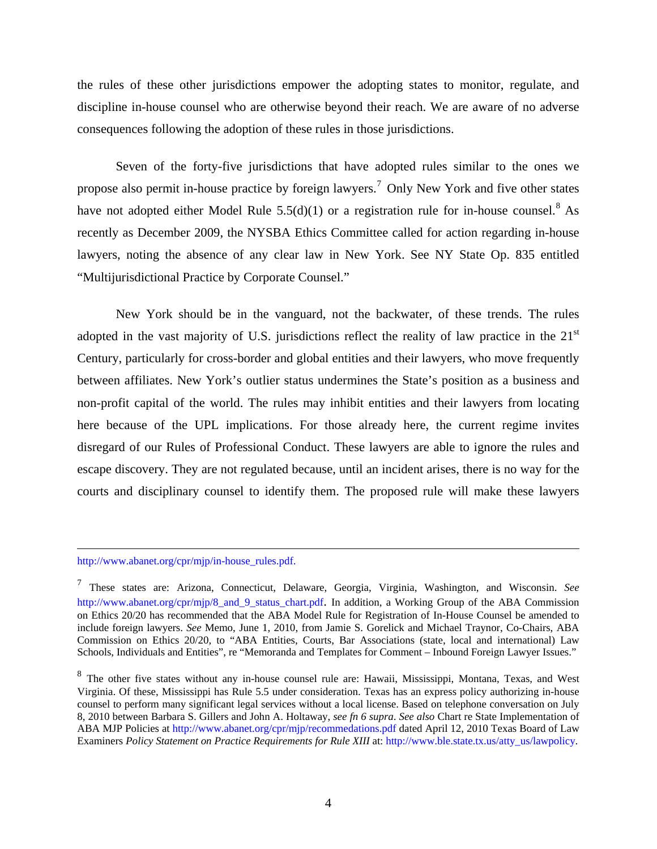the rules of these other jurisdictions empower the adopting states to monitor, regulate, and discipline in-house counsel who are otherwise beyond their reach. We are aware of no adverse consequences following the adoption of these rules in those jurisdictions.

Seven of the forty-five jurisdictions that have adopted rules similar to the ones we propose also permit in-house practice by foreign lawyers.<sup>7</sup> Only New York and five other states have not adopted either Model Rule  $5.5(d)(1)$  or a registration rule for in-house counsel.<sup>8</sup> As recently as December 2009, the NYSBA Ethics Committee called for action regarding in-house lawyers, noting the absence of any clear law in New York. See NY State Op. 835 entitled "Multijurisdictional Practice by Corporate Counsel."

New York should be in the vanguard, not the backwater, of these trends. The rules adopted in the vast majority of U.S. jurisdictions reflect the reality of law practice in the  $21<sup>st</sup>$ Century, particularly for cross-border and global entities and their lawyers, who move frequently between affiliates. New York's outlier status undermines the State's position as a business and non-profit capital of the world. The rules may inhibit entities and their lawyers from locating here because of the UPL implications. For those already here, the current regime invites disregard of our Rules of Professional Conduct. These lawyers are able to ignore the rules and escape discovery. They are not regulated because, until an incident arises, there is no way for the courts and disciplinary counsel to identify them. The proposed rule will make these lawyers

http://www.abanet.org/cpr/mjp/in-house\_rules.pdf.

<sup>&</sup>lt;sup>7</sup> These states are: Arizona, Connecticut, Delaware, Georgia, Virginia, Washington, and Wisconsin. *See* http://www.abanet.org/cpr/mjp/8\_and\_9\_status\_chart.pdf. In addition, a Working Group of the ABA Commission on Ethics 20/20 has recommended that the ABA Model Rule for Registration of In-House Counsel be amended to include foreign lawyers. *See* Memo, June 1, 2010, from Jamie S. Gorelick and Michael Traynor, Co-Chairs, ABA Commission on Ethics 20/20, to "ABA Entities, Courts, Bar Associations (state, local and international) Law Schools, Individuals and Entities", re "Memoranda and Templates for Comment – Inbound Foreign Lawyer Issues."

 $8$  The other five states without any in-house counsel rule are: Hawaii, Mississippi, Montana, Texas, and West Virginia. Of these, Mississippi has Rule 5.5 under consideration. Texas has an express policy authorizing in-house counsel to perform many significant legal services without a local license. Based on telephone conversation on July 8, 2010 between Barbara S. Gillers and John A. Holtaway, *see fn 6 supra*. *See also* Chart re State Implementation of ABA MJP Policies at http://www.abanet.org/cpr/mjp/recommedations.pdf dated April 12, 2010 Texas Board of Law Examiners *Policy Statement on Practice Requirements for Rule XIII* at: http://www.ble.state.tx.us/atty\_us/lawpolicy.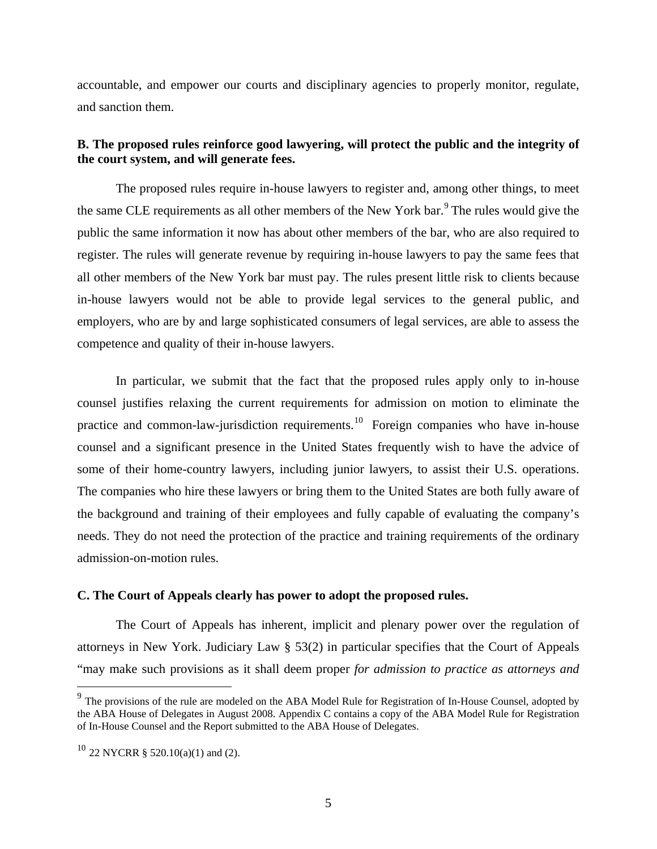accountable, and empower our courts and disciplinary agencies to properly monitor, regulate, and sanction them.

## **B. The proposed rules reinforce good lawyering, will protect the public and the integrity of the court system, and will generate fees.**

The proposed rules require in-house lawyers to register and, among other things, to meet the same CLE requirements as all other members of the New York bar.<sup>9</sup> The rules would give the public the same information it now has about other members of the bar, who are also required to register. The rules will generate revenue by requiring in-house lawyers to pay the same fees that all other members of the New York bar must pay. The rules present little risk to clients because in-house lawyers would not be able to provide legal services to the general public, and employers, who are by and large sophisticated consumers of legal services, are able to assess the competence and quality of their in-house lawyers.

In particular, we submit that the fact that the proposed rules apply only to in-house counsel justifies relaxing the current requirements for admission on motion to eliminate the practice and common-law-jurisdiction requirements.<sup>10</sup> Foreign companies who have in-house counsel and a significant presence in the United States frequently wish to have the advice of some of their home-country lawyers, including junior lawyers, to assist their U.S. operations. The companies who hire these lawyers or bring them to the United States are both fully aware of the background and training of their employees and fully capable of evaluating the company's needs. They do not need the protection of the practice and training requirements of the ordinary admission-on-motion rules.

### **C. The Court of Appeals clearly has power to adopt the proposed rules.**

The Court of Appeals has inherent, implicit and plenary power over the regulation of attorneys in New York. Judiciary Law § 53(2) in particular specifies that the Court of Appeals "may make such provisions as it shall deem proper *for admission to practice as attorneys and*

 $9<sup>9</sup>$  The provisions of the rule are modeled on the ABA Model Rule for Registration of In-House Counsel, adopted by the ABA House of Delegates in August 2008. Appendix C contains a copy of the ABA Model Rule for Registration of In-House Counsel and the Report submitted to the ABA House of Delegates.

 $10^{10}$  22 NYCRR § 520.10(a)(1) and (2).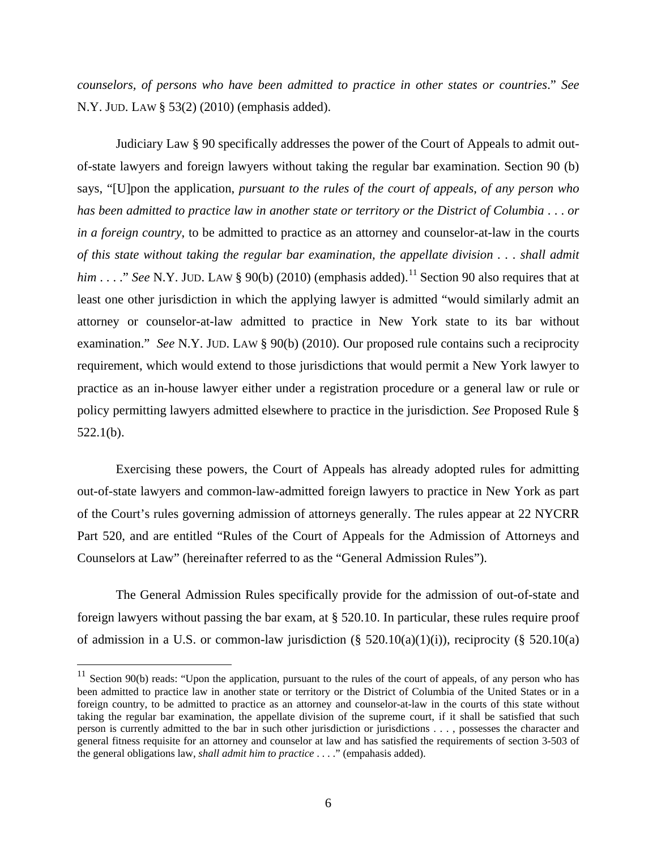*counselors, of persons who have been admitted to practice in other states or countries*." *See* N.Y. JUD. LAW § 53(2) (2010) (emphasis added).

Judiciary Law § 90 specifically addresses the power of the Court of Appeals to admit outof-state lawyers and foreign lawyers without taking the regular bar examination. Section 90 (b) says, "[U]pon the application, *pursuant to the rules of the court of appeals*, *of any person who has been admitted to practice law in another state or territory or the District of Columbia* . . . *or in a foreign country*, to be admitted to practice as an attorney and counselor-at-law in the courts *of this state without taking the regular bar examination, the appellate division . . . shall admit him* . . . ." *See* N.Y. JUD. LAW § 90(b) (2010) (emphasis added).<sup>11</sup> Section 90 also requires that at least one other jurisdiction in which the applying lawyer is admitted "would similarly admit an attorney or counselor-at-law admitted to practice in New York state to its bar without examination." *See* N.Y. JUD. LAW § 90(b) (2010). Our proposed rule contains such a reciprocity requirement, which would extend to those jurisdictions that would permit a New York lawyer to practice as an in-house lawyer either under a registration procedure or a general law or rule or policy permitting lawyers admitted elsewhere to practice in the jurisdiction. *See* Proposed Rule § 522.1(b).

Exercising these powers, the Court of Appeals has already adopted rules for admitting out-of-state lawyers and common-law-admitted foreign lawyers to practice in New York as part of the Court's rules governing admission of attorneys generally. The rules appear at 22 NYCRR Part 520, and are entitled "Rules of the Court of Appeals for the Admission of Attorneys and Counselors at Law" (hereinafter referred to as the "General Admission Rules").

The General Admission Rules specifically provide for the admission of out-of-state and foreign lawyers without passing the bar exam, at § 520.10. In particular, these rules require proof of admission in a U.S. or common-law jurisdiction  $(\S 520.10(a)(1)(i))$ , reciprocity  $(\S 520.10(a))$ 

1

 $11$  Section 90(b) reads: "Upon the application, pursuant to the rules of the court of appeals, of any person who has been admitted to practice law in another state or territory or the District of Columbia of the United States or in a foreign country, to be admitted to practice as an attorney and counselor-at-law in the courts of this state without taking the regular bar examination, the appellate division of the supreme court, if it shall be satisfied that such person is currently admitted to the bar in such other jurisdiction or jurisdictions . . . , possesses the character and general fitness requisite for an attorney and counselor at law and has satisfied the requirements of section 3-503 of the general obligations law, *shall admit him to practice* . . . ." (empahasis added).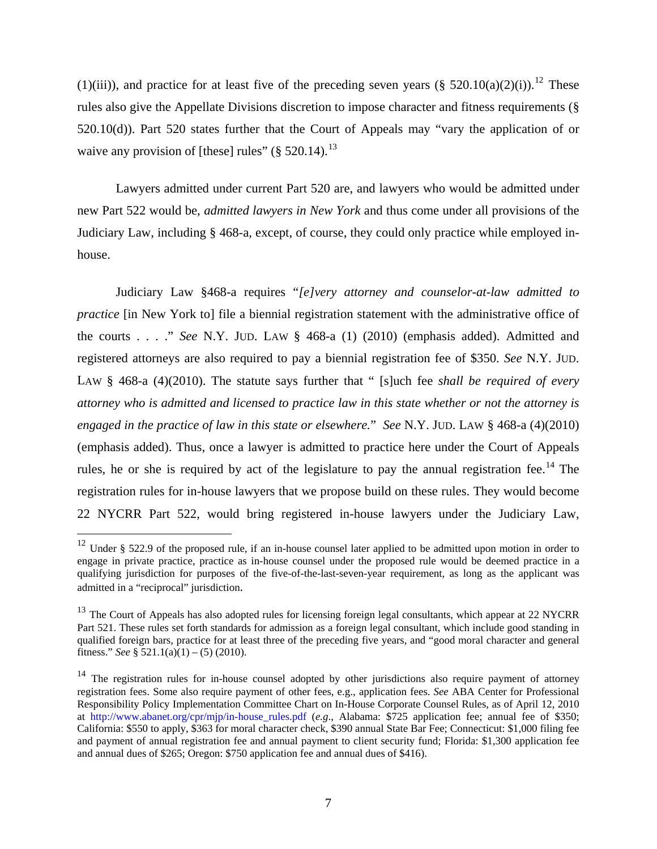(1)(iii)), and practice for at least five of the preceding seven years  $(\S 520.10(a)(2)(i))$ .<sup>12</sup> These rules also give the Appellate Divisions discretion to impose character and fitness requirements (§ 520.10(d)). Part 520 states further that the Court of Appeals may "vary the application of or waive any provision of [these] rules"  $(\S 520.14)$ .<sup>13</sup>

Lawyers admitted under current Part 520 are, and lawyers who would be admitted under new Part 522 would be, *admitted lawyers in New York* and thus come under all provisions of the Judiciary Law, including § 468-a, except, of course, they could only practice while employed inhouse.

Judiciary Law §468-a requires "*[e]very attorney and counselor-at-law admitted to practice* [in New York to] file a biennial registration statement with the administrative office of the courts . . . ." *See* N.Y. JUD. LAW § 468-a (1) (2010) (emphasis added). Admitted and registered attorneys are also required to pay a biennial registration fee of \$350. *See* N.Y. JUD. LAW § 468-a (4)(2010). The statute says further that " [s]uch fee *shall be required of every attorney who is admitted and licensed to practice law in this state whether or not the attorney is engaged in the practice of law in this state or elsewhere.*" *See* N.Y. JUD. LAW § 468-a (4)(2010) (emphasis added). Thus, once a lawyer is admitted to practice here under the Court of Appeals rules, he or she is required by act of the legislature to pay the annual registration fee.<sup>14</sup> The registration rules for in-house lawyers that we propose build on these rules. They would become 22 NYCRR Part 522, would bring registered in-house lawyers under the Judiciary Law,

<sup>&</sup>lt;sup>12</sup> Under § 522.9 of the proposed rule, if an in-house counsel later applied to be admitted upon motion in order to engage in private practice, practice as in-house counsel under the proposed rule would be deemed practice in a qualifying jurisdiction for purposes of the five-of-the-last-seven-year requirement, as long as the applicant was admitted in a "reciprocal" jurisdiction.

 $13$  The Court of Appeals has also adopted rules for licensing foreign legal consultants, which appear at 22 NYCRR Part 521. These rules set forth standards for admission as a foreign legal consultant, which include good standing in qualified foreign bars, practice for at least three of the preceding five years, and "good moral character and general fitness." *See* §  $521.1(a)(1) - (5) (2010)$ .

 $14$  The registration rules for in-house counsel adopted by other jurisdictions also require payment of attorney registration fees. Some also require payment of other fees, e.g., application fees. *See* ABA Center for Professional Responsibility Policy Implementation Committee Chart on In-House Corporate Counsel Rules, as of April 12, 2010 at http://www.abanet.org/cpr/mjp/in-house\_rules.pdf (*e.g*., Alabama: \$725 application fee; annual fee of \$350; California: \$550 to apply, \$363 for moral character check, \$390 annual State Bar Fee; Connecticut: \$1,000 filing fee and payment of annual registration fee and annual payment to client security fund; Florida: \$1,300 application fee and annual dues of \$265; Oregon: \$750 application fee and annual dues of \$416).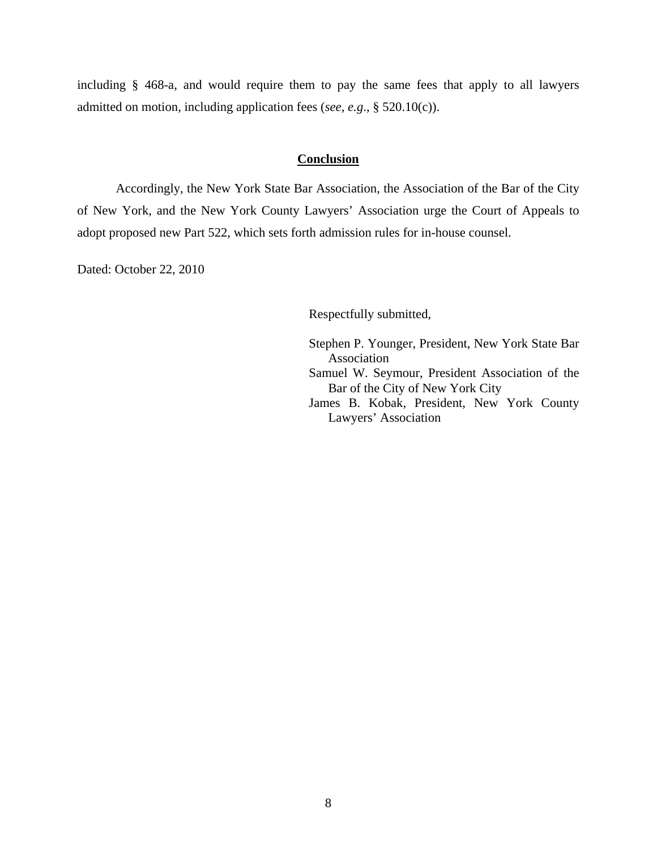including § 468-a, and would require them to pay the same fees that apply to all lawyers admitted on motion, including application fees (*see*, *e.g*., § 520.10(c)).

### **Conclusion**

Accordingly, the New York State Bar Association, the Association of the Bar of the City of New York, and the New York County Lawyers' Association urge the Court of Appeals to adopt proposed new Part 522, which sets forth admission rules for in-house counsel.

Dated: October 22, 2010

Respectfully submitted,

Stephen P. Younger, President, New York State Bar Association Samuel W. Seymour, President Association of the Bar of the City of New York City James B. Kobak, President, New York County Lawyers' Association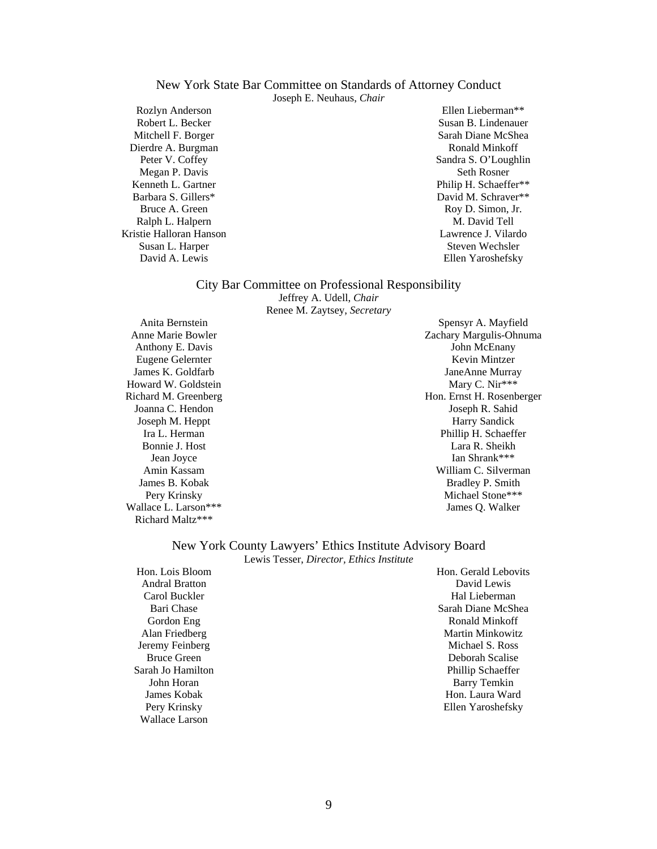# New York State Bar Committee on Standards of Attorney Conduct

Joseph E. Neuhaus, *Chair*

Rozlyn Anderson Robert L. Becker Mitchell F. Borger Dierdre A. Burgman Peter V. Coffey Megan P. Davis Kenneth L. Gartner Barbara S. Gillers\* Bruce A. Green Ralph L. Halpern Kristie Halloran Hanson Susan L. Harper David A. Lewis

Ellen Lieberman\*\* Susan B. Lindenauer Sarah Diane McShea Ronald Minkoff Sandra S. O'Loughlin Seth Rosner Philip H. Schaeffer\*\* David M. Schraver\*\* Roy D. Simon, Jr. M. David Tell Lawrence J. Vilardo Steven Wechsler Ellen Yaroshefsky

#### City Bar Committee on Professional Responsibility

Jeffrey A. Udell, *Chair* Renee M. Zaytsey, *Secretary* 

Anita Bernstein Anne Marie Bowler Anthony E. Davis Eugene Gelernter James K. Goldfarb Howard W. Goldstein Richard M. Greenberg Joanna C. Hendon Joseph M. Heppt Ira L. Herman Bonnie J. Host Jean Joyce Amin Kassam James B. Kobak Pery Krinsky Wallace L. Larson\*\*\* Richard Maltz\*\*\*

Spensyr A. Mayfield Zachary Margulis-Ohnuma John McEnany Kevin Mintzer JaneAnne Murray Mary C. Nir\*\*\* Hon. Ernst H. Rosenberger Joseph R. Sahid Harry Sandick Phillip H. Schaeffer Lara R. Sheikh Ian Shrank\*\*\* William C. Silverman Bradley P. Smith Michael Stone\*\*\* James Q. Walker

#### New York County Lawyers' Ethics Institute Advisory Board Lewis Tesser, *Director, Ethics Institute*

Hon. Lois Bloom Andral Bratton Carol Buckler Bari Chase Gordon Eng Alan Friedberg Jeremy Feinberg Bruce Green Sarah Jo Hamilton John Horan James Kobak Pery Krinsky Wallace Larson

Hon. Gerald Lebovits David Lewis Hal Lieberman Sarah Diane McShea Ronald Minkoff Martin Minkowitz Michael S. Ross Deborah Scalise Phillip Schaeffer Barry Temkin Hon. Laura Ward Ellen Yaroshefsky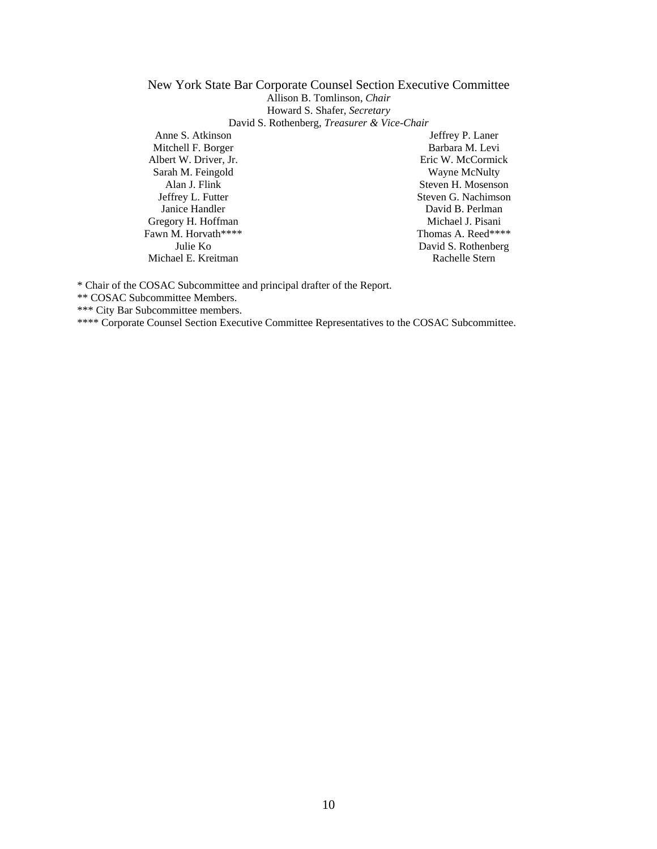#### New York State Bar Corporate Counsel Section Executive Committee Allison B. Tomlinson, *Chair*  Howard S. Shafer, *Secretary* David S. Rothenberg, *Treasurer & Vice-Chair*

Anne S. Atkinson Mitchell F. Borger Albert W. Driver, Jr. Sarah M. Feingold Alan J. Flink Jeffrey L. Futter Janice Handler Gregory H. Hoffman Fawn M. Horvath\*\*\*\* Julie Ko Michael E. Kreitman

Jeffrey P. Laner Barbara M. Levi Eric W. McCormick Wayne McNulty Steven H. Mosenson Steven G. Nachimson David B. Perlman Michael J. Pisani Thomas A. Reed\*\*\*\* David S. Rothenberg Rachelle Stern

\* Chair of the COSAC Subcommittee and principal drafter of the Report.

\*\* COSAC Subcommittee Members.

\*\*\* City Bar Subcommittee members.

\*\*\*\* Corporate Counsel Section Executive Committee Representatives to the COSAC Subcommittee.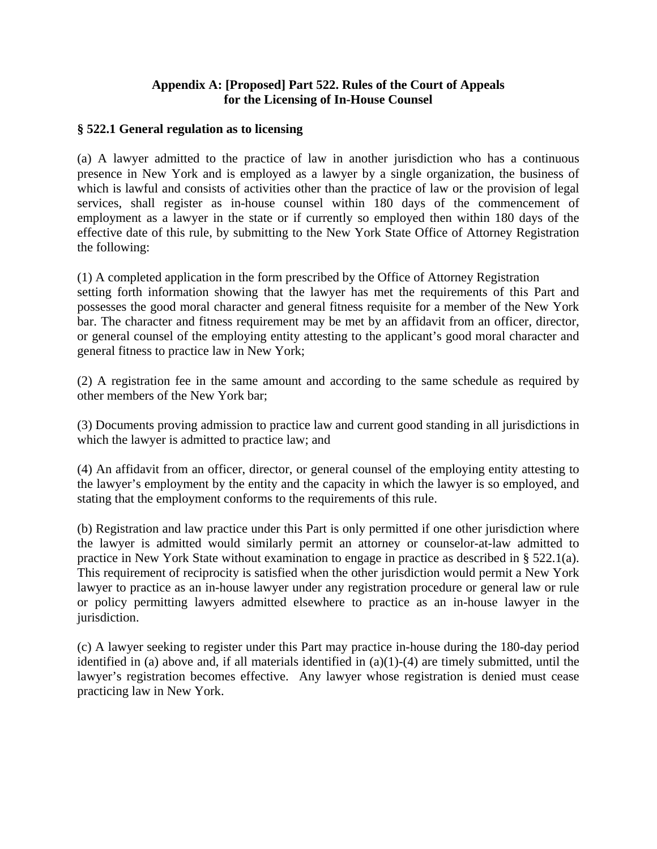## **Appendix A: [Proposed] Part 522. Rules of the Court of Appeals for the Licensing of In-House Counsel**

## **§ 522.1 General regulation as to licensing**

(a) A lawyer admitted to the practice of law in another jurisdiction who has a continuous presence in New York and is employed as a lawyer by a single organization, the business of which is lawful and consists of activities other than the practice of law or the provision of legal services, shall register as in-house counsel within 180 days of the commencement of employment as a lawyer in the state or if currently so employed then within 180 days of the effective date of this rule, by submitting to the New York State Office of Attorney Registration the following:

(1) A completed application in the form prescribed by the Office of Attorney Registration setting forth information showing that the lawyer has met the requirements of this Part and possesses the good moral character and general fitness requisite for a member of the New York bar. The character and fitness requirement may be met by an affidavit from an officer, director, or general counsel of the employing entity attesting to the applicant's good moral character and general fitness to practice law in New York;

(2) A registration fee in the same amount and according to the same schedule as required by other members of the New York bar;

(3) Documents proving admission to practice law and current good standing in all jurisdictions in which the lawyer is admitted to practice law; and

(4) An affidavit from an officer, director, or general counsel of the employing entity attesting to the lawyer's employment by the entity and the capacity in which the lawyer is so employed, and stating that the employment conforms to the requirements of this rule.

(b) Registration and law practice under this Part is only permitted if one other jurisdiction where the lawyer is admitted would similarly permit an attorney or counselor-at-law admitted to practice in New York State without examination to engage in practice as described in § 522.1(a). This requirement of reciprocity is satisfied when the other jurisdiction would permit a New York lawyer to practice as an in-house lawyer under any registration procedure or general law or rule or policy permitting lawyers admitted elsewhere to practice as an in-house lawyer in the jurisdiction.

(c) A lawyer seeking to register under this Part may practice in-house during the 180-day period identified in (a) above and, if all materials identified in (a)(1)-(4) are timely submitted, until the lawyer's registration becomes effective. Any lawyer whose registration is denied must cease practicing law in New York.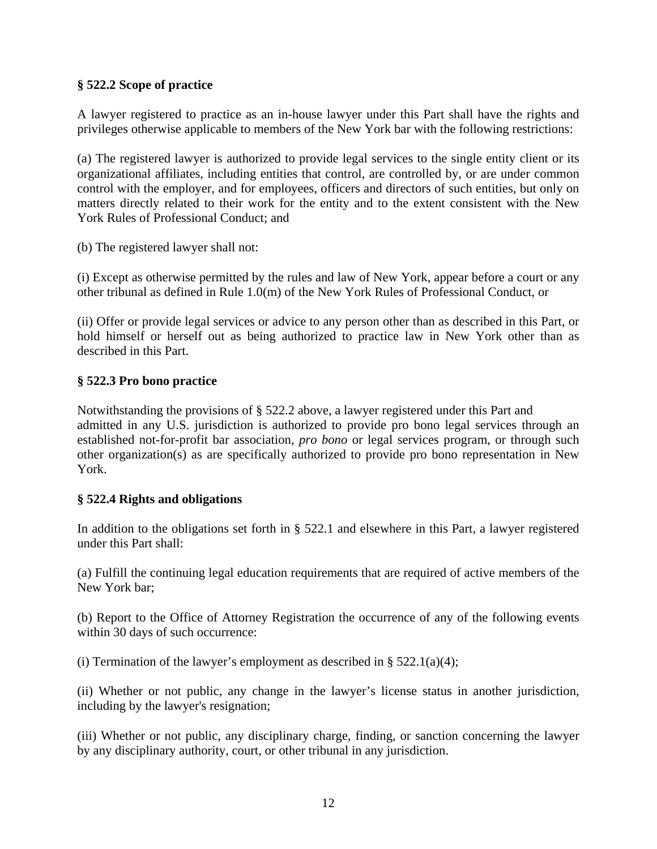## **§ 522.2 Scope of practice**

A lawyer registered to practice as an in-house lawyer under this Part shall have the rights and privileges otherwise applicable to members of the New York bar with the following restrictions:

(a) The registered lawyer is authorized to provide legal services to the single entity client or its organizational affiliates, including entities that control, are controlled by, or are under common control with the employer, and for employees, officers and directors of such entities, but only on matters directly related to their work for the entity and to the extent consistent with the New York Rules of Professional Conduct; and

(b) The registered lawyer shall not:

(i) Except as otherwise permitted by the rules and law of New York, appear before a court or any other tribunal as defined in Rule 1.0(m) of the New York Rules of Professional Conduct, or

(ii) Offer or provide legal services or advice to any person other than as described in this Part, or hold himself or herself out as being authorized to practice law in New York other than as described in this Part.

## **§ 522.3 Pro bono practice**

Notwithstanding the provisions of § 522.2 above, a lawyer registered under this Part and admitted in any U.S. jurisdiction is authorized to provide pro bono legal services through an established not-for-profit bar association, *pro bono* or legal services program, or through such other organization(s) as are specifically authorized to provide pro bono representation in New York.

### **§ 522.4 Rights and obligations**

In addition to the obligations set forth in § 522.1 and elsewhere in this Part, a lawyer registered under this Part shall:

(a) Fulfill the continuing legal education requirements that are required of active members of the New York bar;

(b) Report to the Office of Attorney Registration the occurrence of any of the following events within 30 days of such occurrence:

(i) Termination of the lawyer's employment as described in § 522.1(a)(4);

(ii) Whether or not public, any change in the lawyer's license status in another jurisdiction, including by the lawyer's resignation;

(iii) Whether or not public, any disciplinary charge, finding, or sanction concerning the lawyer by any disciplinary authority, court, or other tribunal in any jurisdiction.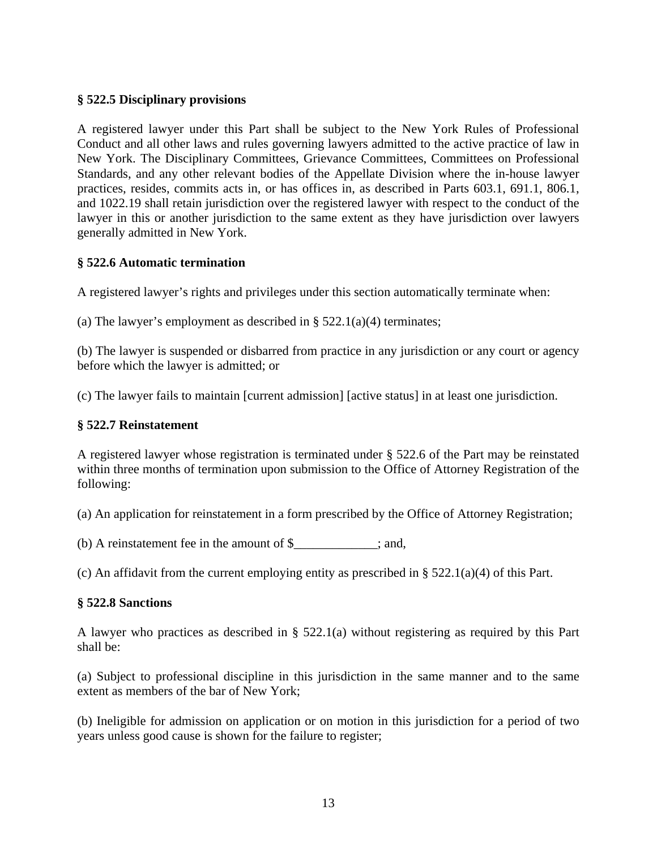## **§ 522.5 Disciplinary provisions**

A registered lawyer under this Part shall be subject to the New York Rules of Professional Conduct and all other laws and rules governing lawyers admitted to the active practice of law in New York. The Disciplinary Committees, Grievance Committees, Committees on Professional Standards, and any other relevant bodies of the Appellate Division where the in-house lawyer practices, resides, commits acts in, or has offices in, as described in Parts 603.1, 691.1, 806.1, and 1022.19 shall retain jurisdiction over the registered lawyer with respect to the conduct of the lawyer in this or another jurisdiction to the same extent as they have jurisdiction over lawyers generally admitted in New York.

## **§ 522.6 Automatic termination**

A registered lawyer's rights and privileges under this section automatically terminate when:

(a) The lawyer's employment as described in  $\S$  522.1(a)(4) terminates;

(b) The lawyer is suspended or disbarred from practice in any jurisdiction or any court or agency before which the lawyer is admitted; or

(c) The lawyer fails to maintain [current admission] [active status] in at least one jurisdiction.

### **§ 522.7 Reinstatement**

A registered lawyer whose registration is terminated under § 522.6 of the Part may be reinstated within three months of termination upon submission to the Office of Attorney Registration of the following:

(a) An application for reinstatement in a form prescribed by the Office of Attorney Registration;

(b) A reinstatement fee in the amount of \$\_\_\_\_\_\_\_\_\_\_\_\_\_; and,

(c) An affidavit from the current employing entity as prescribed in § 522.1(a)(4) of this Part.

### **§ 522.8 Sanctions**

A lawyer who practices as described in § 522.1(a) without registering as required by this Part shall be:

(a) Subject to professional discipline in this jurisdiction in the same manner and to the same extent as members of the bar of New York;

(b) Ineligible for admission on application or on motion in this jurisdiction for a period of two years unless good cause is shown for the failure to register;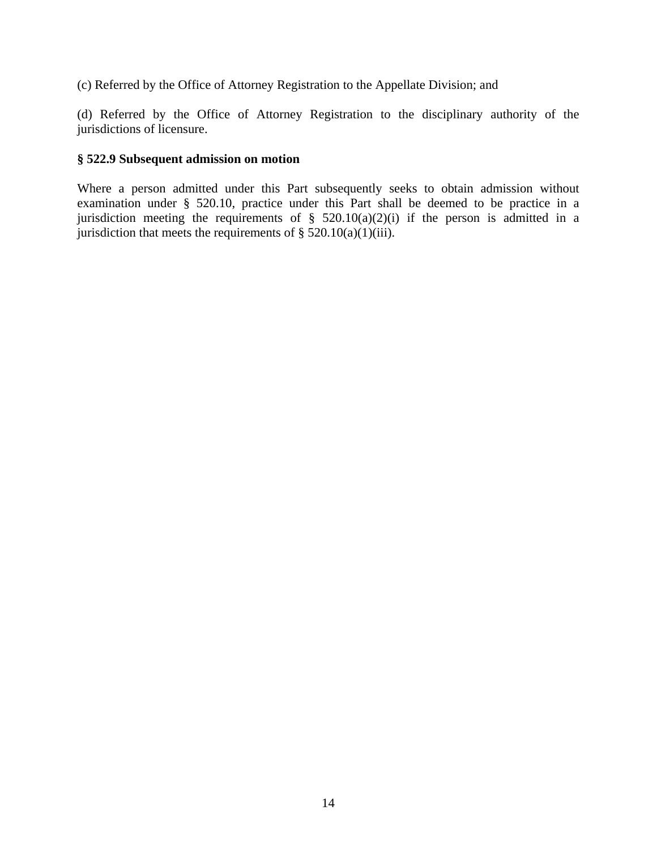(c) Referred by the Office of Attorney Registration to the Appellate Division; and

(d) Referred by the Office of Attorney Registration to the disciplinary authority of the jurisdictions of licensure.

### **§ 522.9 Subsequent admission on motion**

Where a person admitted under this Part subsequently seeks to obtain admission without examination under § 520.10, practice under this Part shall be deemed to be practice in a jurisdiction meeting the requirements of  $\S$  520.10(a)(2)(i) if the person is admitted in a jurisdiction that meets the requirements of  $\S$  520.10(a)(1)(iii).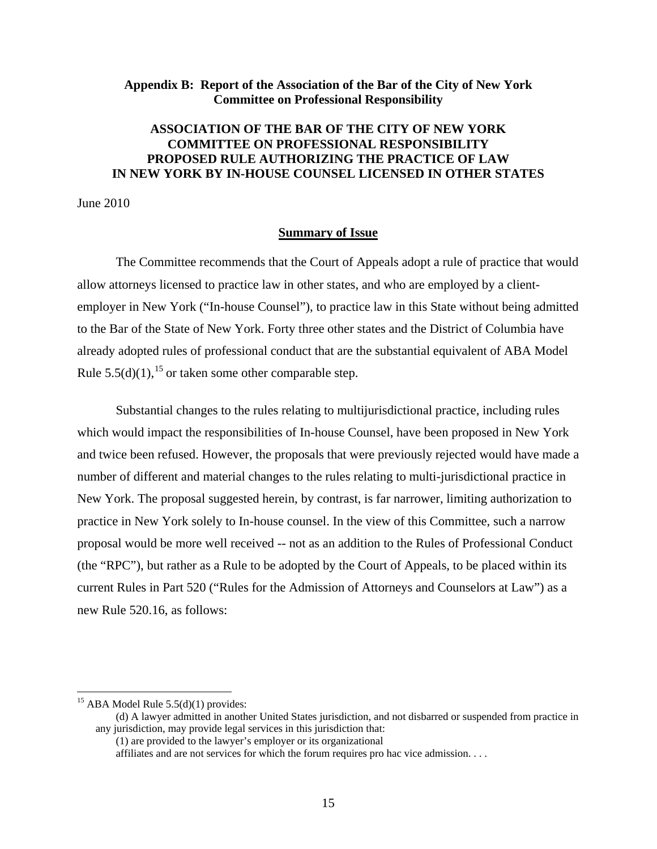### **Appendix B: Report of the Association of the Bar of the City of New York Committee on Professional Responsibility**

# **ASSOCIATION OF THE BAR OF THE CITY OF NEW YORK COMMITTEE ON PROFESSIONAL RESPONSIBILITY PROPOSED RULE AUTHORIZING THE PRACTICE OF LAW IN NEW YORK BY IN-HOUSE COUNSEL LICENSED IN OTHER STATES**

June 2010

### **Summary of Issue**

The Committee recommends that the Court of Appeals adopt a rule of practice that would allow attorneys licensed to practice law in other states, and who are employed by a clientemployer in New York ("In-house Counsel"), to practice law in this State without being admitted to the Bar of the State of New York. Forty three other states and the District of Columbia have already adopted rules of professional conduct that are the substantial equivalent of ABA Model Rule  $5.5(d)(1)$ , <sup>15</sup> or taken some other comparable step.

Substantial changes to the rules relating to multijurisdictional practice, including rules which would impact the responsibilities of In-house Counsel, have been proposed in New York and twice been refused. However, the proposals that were previously rejected would have made a number of different and material changes to the rules relating to multi-jurisdictional practice in New York. The proposal suggested herein, by contrast, is far narrower, limiting authorization to practice in New York solely to In-house counsel. In the view of this Committee, such a narrow proposal would be more well received -- not as an addition to the Rules of Professional Conduct (the "RPC"), but rather as a Rule to be adopted by the Court of Appeals, to be placed within its current Rules in Part 520 ("Rules for the Admission of Attorneys and Counselors at Law") as a new Rule 520.16, as follows:

1

 $15$  ABA Model Rule 5.5(d)(1) provides:

<sup>(</sup>d) A lawyer admitted in another United States jurisdiction, and not disbarred or suspended from practice in any jurisdiction, may provide legal services in this jurisdiction that:

<sup>(1)</sup> are provided to the lawyer's employer or its organizational

affiliates and are not services for which the forum requires pro hac vice admission. . . .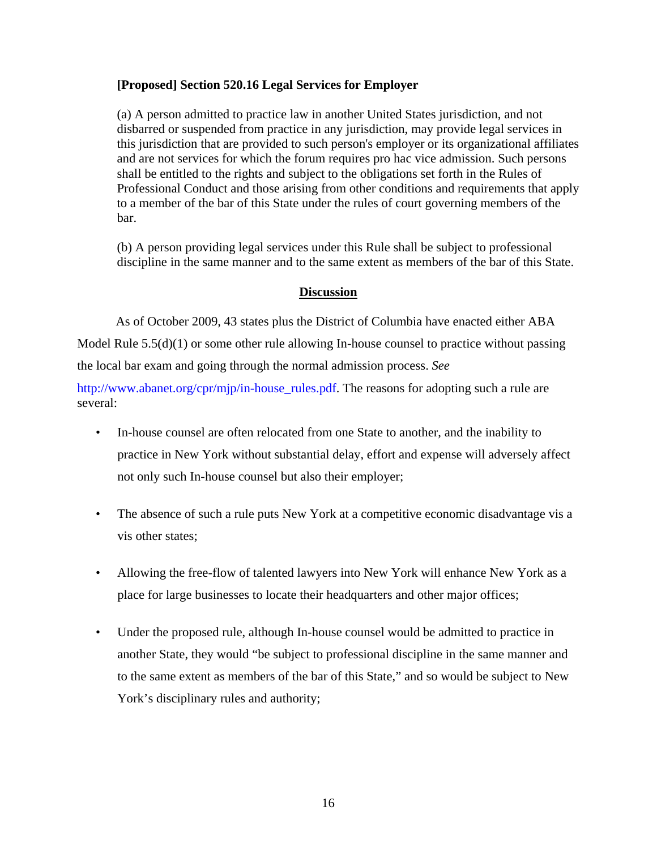## **[Proposed] Section 520.16 Legal Services for Employer**

(a) A person admitted to practice law in another United States jurisdiction, and not disbarred or suspended from practice in any jurisdiction, may provide legal services in this jurisdiction that are provided to such person's employer or its organizational affiliates and are not services for which the forum requires pro hac vice admission. Such persons shall be entitled to the rights and subject to the obligations set forth in the Rules of Professional Conduct and those arising from other conditions and requirements that apply to a member of the bar of this State under the rules of court governing members of the bar.

(b) A person providing legal services under this Rule shall be subject to professional discipline in the same manner and to the same extent as members of the bar of this State.

## <sup>U</sup>**Discussion**

As of October 2009, 43 states plus the District of Columbia have enacted either ABA

Model Rule  $5.5(d)(1)$  or some other rule allowing In-house counsel to practice without passing the local bar exam and going through the normal admission process. *See*

http://www.abanet.org/cpr/mjp/in-house\_rules.pdf. The reasons for adopting such a rule are several:

- In-house counsel are often relocated from one State to another, and the inability to practice in New York without substantial delay, effort and expense will adversely affect not only such In-house counsel but also their employer;
- The absence of such a rule puts New York at a competitive economic disadvantage vis a vis other states;
- Allowing the free-flow of talented lawyers into New York will enhance New York as a place for large businesses to locate their headquarters and other major offices;
- Under the proposed rule, although In-house counsel would be admitted to practice in another State, they would "be subject to professional discipline in the same manner and to the same extent as members of the bar of this State," and so would be subject to New York's disciplinary rules and authority;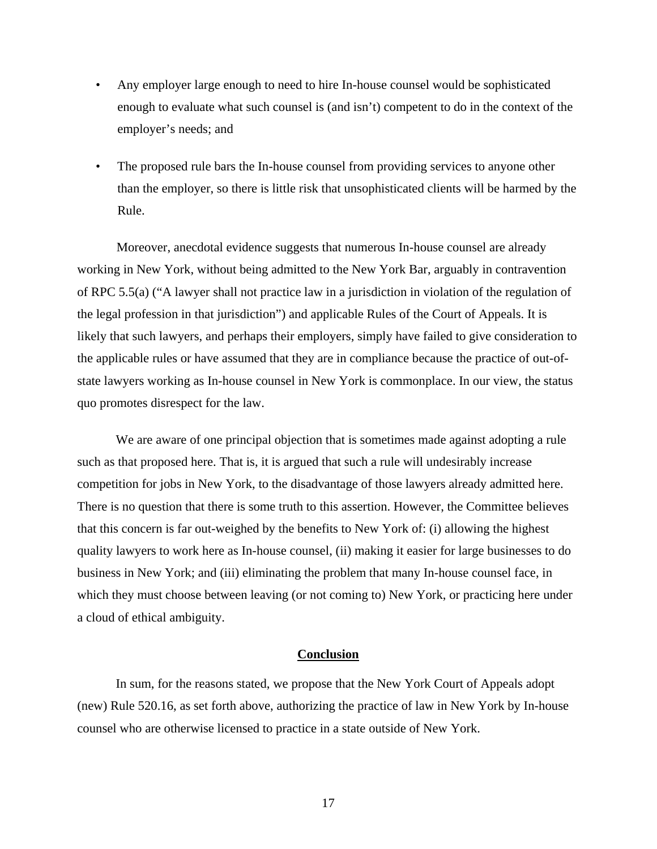- Any employer large enough to need to hire In-house counsel would be sophisticated enough to evaluate what such counsel is (and isn't) competent to do in the context of the employer's needs; and
- The proposed rule bars the In-house counsel from providing services to anyone other than the employer, so there is little risk that unsophisticated clients will be harmed by the Rule.

Moreover, anecdotal evidence suggests that numerous In-house counsel are already working in New York, without being admitted to the New York Bar, arguably in contravention of RPC 5.5(a) ("A lawyer shall not practice law in a jurisdiction in violation of the regulation of the legal profession in that jurisdiction") and applicable Rules of the Court of Appeals. It is likely that such lawyers, and perhaps their employers, simply have failed to give consideration to the applicable rules or have assumed that they are in compliance because the practice of out-ofstate lawyers working as In-house counsel in New York is commonplace. In our view, the status quo promotes disrespect for the law.

We are aware of one principal objection that is sometimes made against adopting a rule such as that proposed here. That is, it is argued that such a rule will undesirably increase competition for jobs in New York, to the disadvantage of those lawyers already admitted here. There is no question that there is some truth to this assertion. However, the Committee believes that this concern is far out-weighed by the benefits to New York of: (i) allowing the highest quality lawyers to work here as In-house counsel, (ii) making it easier for large businesses to do business in New York; and (iii) eliminating the problem that many In-house counsel face, in which they must choose between leaving (or not coming to) New York, or practicing here under a cloud of ethical ambiguity.

#### **Conclusion**

In sum, for the reasons stated, we propose that the New York Court of Appeals adopt (new) Rule 520.16, as set forth above, authorizing the practice of law in New York by In-house counsel who are otherwise licensed to practice in a state outside of New York.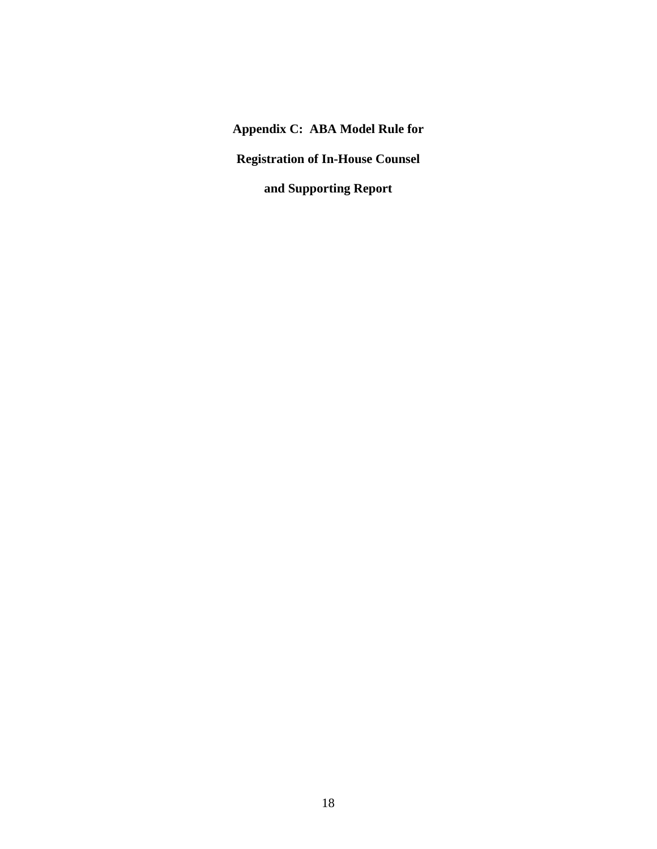**Appendix C: ABA Model Rule for** 

**Registration of In-House Counsel** 

**and Supporting Report**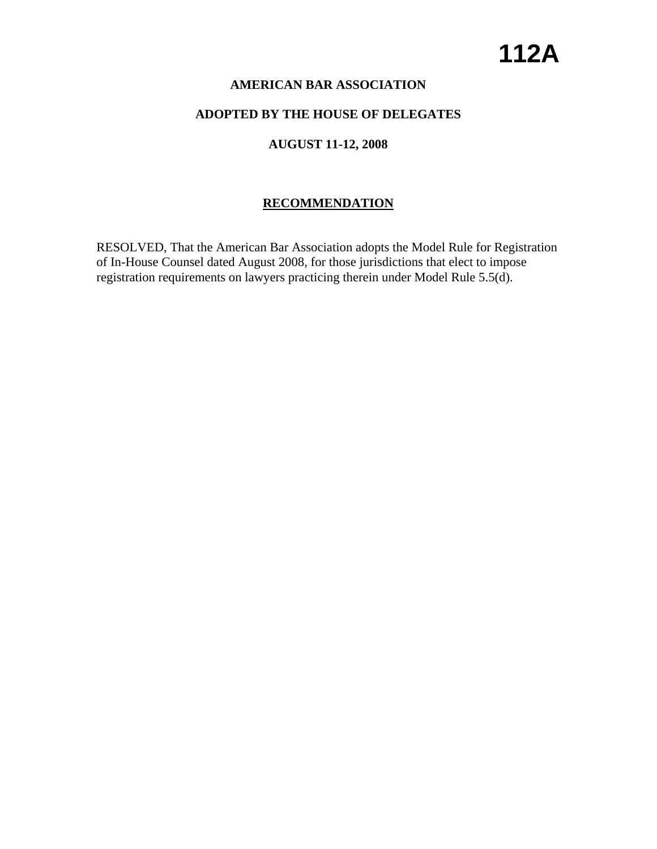## **AMERICAN BAR ASSOCIATION**

## **ADOPTED BY THE HOUSE OF DELEGATES**

# **AUGUST 11-12, 2008**

# **RECOMMENDATION**

RESOLVED, That the American Bar Association adopts the Model Rule for Registration of In-House Counsel dated August 2008, for those jurisdictions that elect to impose registration requirements on lawyers practicing therein under Model Rule 5.5(d).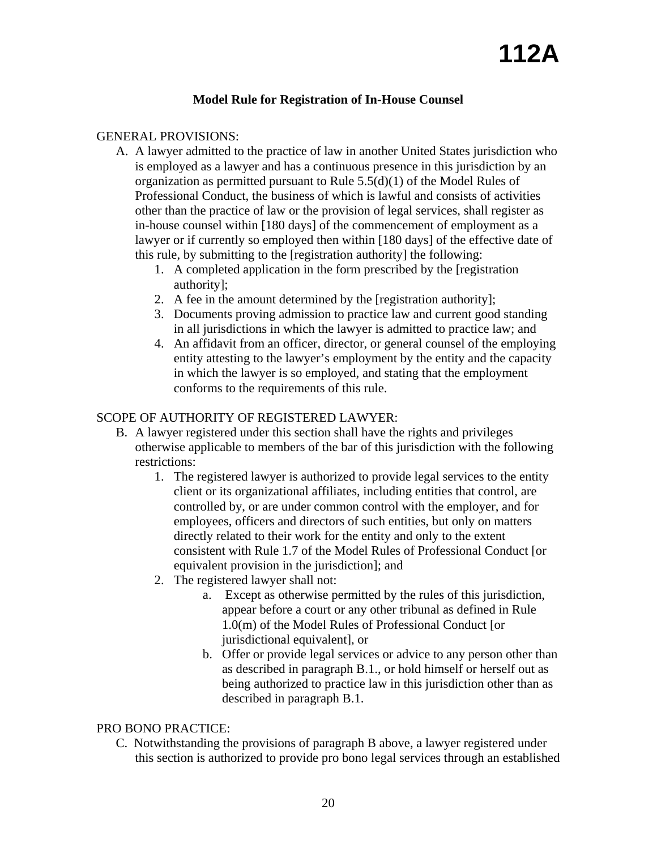# **Model Rule for Registration of In-House Counsel**

## GENERAL PROVISIONS:

- A. A lawyer admitted to the practice of law in another United States jurisdiction who is employed as a lawyer and has a continuous presence in this jurisdiction by an organization as permitted pursuant to Rule 5.5(d)(1) of the Model Rules of Professional Conduct, the business of which is lawful and consists of activities other than the practice of law or the provision of legal services, shall register as in-house counsel within [180 days] of the commencement of employment as a lawyer or if currently so employed then within [180 days] of the effective date of this rule, by submitting to the [registration authority] the following:
	- 1. A completed application in the form prescribed by the [registration authority];
	- 2. A fee in the amount determined by the [registration authority];
	- 3. Documents proving admission to practice law and current good standing in all jurisdictions in which the lawyer is admitted to practice law; and
	- 4. An affidavit from an officer, director, or general counsel of the employing entity attesting to the lawyer's employment by the entity and the capacity in which the lawyer is so employed, and stating that the employment conforms to the requirements of this rule.

## SCOPE OF AUTHORITY OF REGISTERED LAWYER:

- B. A lawyer registered under this section shall have the rights and privileges otherwise applicable to members of the bar of this jurisdiction with the following restrictions:
	- 1. The registered lawyer is authorized to provide legal services to the entity client or its organizational affiliates, including entities that control, are controlled by, or are under common control with the employer, and for employees, officers and directors of such entities, but only on matters directly related to their work for the entity and only to the extent consistent with Rule 1.7 of the Model Rules of Professional Conduct [or equivalent provision in the jurisdiction]; and
	- 2. The registered lawyer shall not:
		- a. Except as otherwise permitted by the rules of this jurisdiction, appear before a court or any other tribunal as defined in Rule 1.0(m) of the Model Rules of Professional Conduct [or jurisdictional equivalent], or
		- b. Offer or provide legal services or advice to any person other than as described in paragraph B.1., or hold himself or herself out as being authorized to practice law in this jurisdiction other than as described in paragraph B.1.

## PRO BONO PRACTICE:

C. Notwithstanding the provisions of paragraph B above, a lawyer registered under this section is authorized to provide pro bono legal services through an established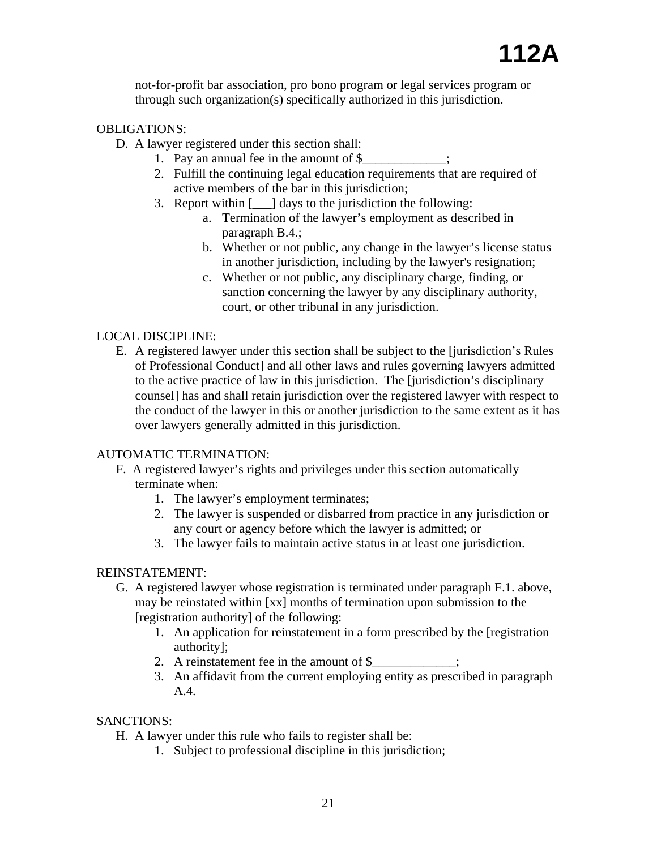not-for-profit bar association, pro bono program or legal services program or through such organization(s) specifically authorized in this jurisdiction.

### OBLIGATIONS:

- D. A lawyer registered under this section shall:
	- 1. Pay an annual fee in the amount of  $\frac{1}{2}$ ,
	- 2. Fulfill the continuing legal education requirements that are required of active members of the bar in this jurisdiction;
	- 3. Report within [\_\_\_] days to the jurisdiction the following:
		- a. Termination of the lawyer's employment as described in paragraph B.4.;
		- b. Whether or not public, any change in the lawyer's license status in another jurisdiction, including by the lawyer's resignation;
		- c. Whether or not public, any disciplinary charge, finding, or sanction concerning the lawyer by any disciplinary authority, court, or other tribunal in any jurisdiction.

### LOCAL DISCIPLINE:

E. A registered lawyer under this section shall be subject to the [jurisdiction's Rules of Professional Conduct] and all other laws and rules governing lawyers admitted to the active practice of law in this jurisdiction. The [jurisdiction's disciplinary counsel] has and shall retain jurisdiction over the registered lawyer with respect to the conduct of the lawyer in this or another jurisdiction to the same extent as it has over lawyers generally admitted in this jurisdiction.

### AUTOMATIC TERMINATION:

- F. A registered lawyer's rights and privileges under this section automatically terminate when:
	- 1. The lawyer's employment terminates;
	- 2. The lawyer is suspended or disbarred from practice in any jurisdiction or any court or agency before which the lawyer is admitted; or
	- 3. The lawyer fails to maintain active status in at least one jurisdiction.

### REINSTATEMENT:

- G. A registered lawyer whose registration is terminated under paragraph F.1. above, may be reinstated within [xx] months of termination upon submission to the [registration authority] of the following:
	- 1. An application for reinstatement in a form prescribed by the [registration authority];
	- 2. A reinstatement fee in the amount of  $\$ ;
	- 3. An affidavit from the current employing entity as prescribed in paragraph A.4.

### SANCTIONS:

- H. A lawyer under this rule who fails to register shall be:
	- 1. Subject to professional discipline in this jurisdiction;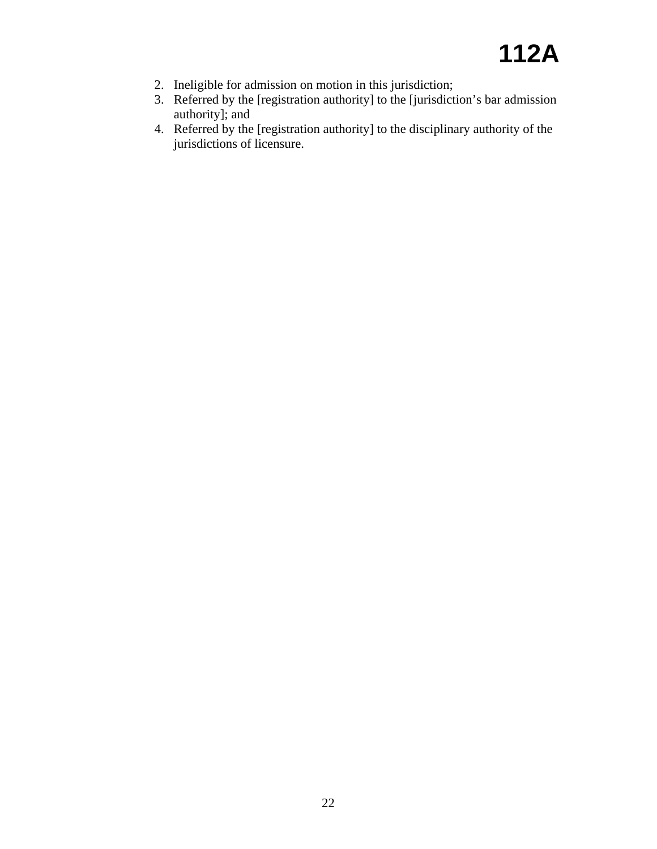- 2. Ineligible for admission on motion in this jurisdiction;
- 3. Referred by the [registration authority] to the [jurisdiction's bar admission authority]; and
- 4. Referred by the [registration authority] to the disciplinary authority of the jurisdictions of licensure.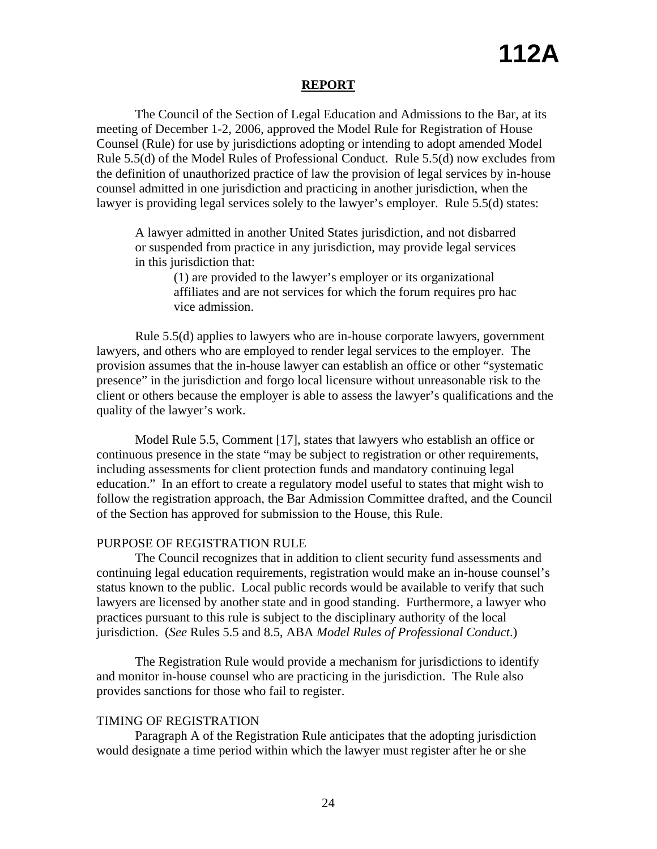### **REPORT**

The Council of the Section of Legal Education and Admissions to the Bar, at its meeting of December 1-2, 2006, approved the Model Rule for Registration of House Counsel (Rule) for use by jurisdictions adopting or intending to adopt amended Model Rule 5.5(d) of the Model Rules of Professional Conduct. Rule 5.5(d) now excludes from the definition of unauthorized practice of law the provision of legal services by in-house counsel admitted in one jurisdiction and practicing in another jurisdiction, when the lawyer is providing legal services solely to the lawyer's employer. Rule 5.5(d) states:

A lawyer admitted in another United States jurisdiction, and not disbarred or suspended from practice in any jurisdiction, may provide legal services in this jurisdiction that:

> (1) are provided to the lawyer's employer or its organizational affiliates and are not services for which the forum requires pro hac vice admission.

Rule 5.5(d) applies to lawyers who are in-house corporate lawyers, government lawyers, and others who are employed to render legal services to the employer. The provision assumes that the in-house lawyer can establish an office or other "systematic presence" in the jurisdiction and forgo local licensure without unreasonable risk to the client or others because the employer is able to assess the lawyer's qualifications and the quality of the lawyer's work.

Model Rule 5.5, Comment [17], states that lawyers who establish an office or continuous presence in the state "may be subject to registration or other requirements, including assessments for client protection funds and mandatory continuing legal education." In an effort to create a regulatory model useful to states that might wish to follow the registration approach, the Bar Admission Committee drafted, and the Council of the Section has approved for submission to the House, this Rule.

### PURPOSE OF REGISTRATION RULE

The Council recognizes that in addition to client security fund assessments and continuing legal education requirements, registration would make an in-house counsel's status known to the public. Local public records would be available to verify that such lawyers are licensed by another state and in good standing. Furthermore, a lawyer who practices pursuant to this rule is subject to the disciplinary authority of the local jurisdiction. (*See* Rules 5.5 and 8.5, ABA *Model Rules of Professional Conduct*.)

The Registration Rule would provide a mechanism for jurisdictions to identify and monitor in-house counsel who are practicing in the jurisdiction. The Rule also provides sanctions for those who fail to register.

### TIMING OF REGISTRATION

Paragraph A of the Registration Rule anticipates that the adopting jurisdiction would designate a time period within which the lawyer must register after he or she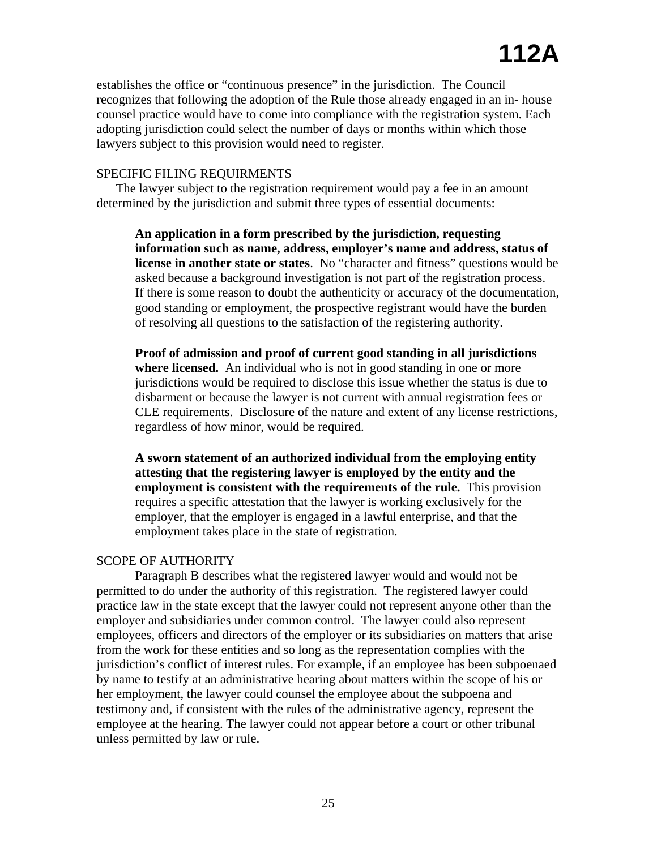establishes the office or "continuous presence" in the jurisdiction. The Council recognizes that following the adoption of the Rule those already engaged in an in- house counsel practice would have to come into compliance with the registration system. Each adopting jurisdiction could select the number of days or months within which those lawyers subject to this provision would need to register.

### SPECIFIC FILING REQUIRMENTS

The lawyer subject to the registration requirement would pay a fee in an amount determined by the jurisdiction and submit three types of essential documents:

**An application in a form prescribed by the jurisdiction, requesting information such as name, address, employer's name and address, status of license in another state or states**. No "character and fitness" questions would be asked because a background investigation is not part of the registration process. If there is some reason to doubt the authenticity or accuracy of the documentation, good standing or employment, the prospective registrant would have the burden of resolving all questions to the satisfaction of the registering authority.

**Proof of admission and proof of current good standing in all jurisdictions where licensed.** An individual who is not in good standing in one or more jurisdictions would be required to disclose this issue whether the status is due to disbarment or because the lawyer is not current with annual registration fees or CLE requirements. Disclosure of the nature and extent of any license restrictions, regardless of how minor, would be required.

**A sworn statement of an authorized individual from the employing entity attesting that the registering lawyer is employed by the entity and the employment is consistent with the requirements of the rule.** This provision requires a specific attestation that the lawyer is working exclusively for the employer, that the employer is engaged in a lawful enterprise, and that the employment takes place in the state of registration.

### SCOPE OF AUTHORITY

Paragraph B describes what the registered lawyer would and would not be permitted to do under the authority of this registration. The registered lawyer could practice law in the state except that the lawyer could not represent anyone other than the employer and subsidiaries under common control. The lawyer could also represent employees, officers and directors of the employer or its subsidiaries on matters that arise from the work for these entities and so long as the representation complies with the jurisdiction's conflict of interest rules. For example, if an employee has been subpoenaed by name to testify at an administrative hearing about matters within the scope of his or her employment, the lawyer could counsel the employee about the subpoena and testimony and, if consistent with the rules of the administrative agency, represent the employee at the hearing. The lawyer could not appear before a court or other tribunal unless permitted by law or rule.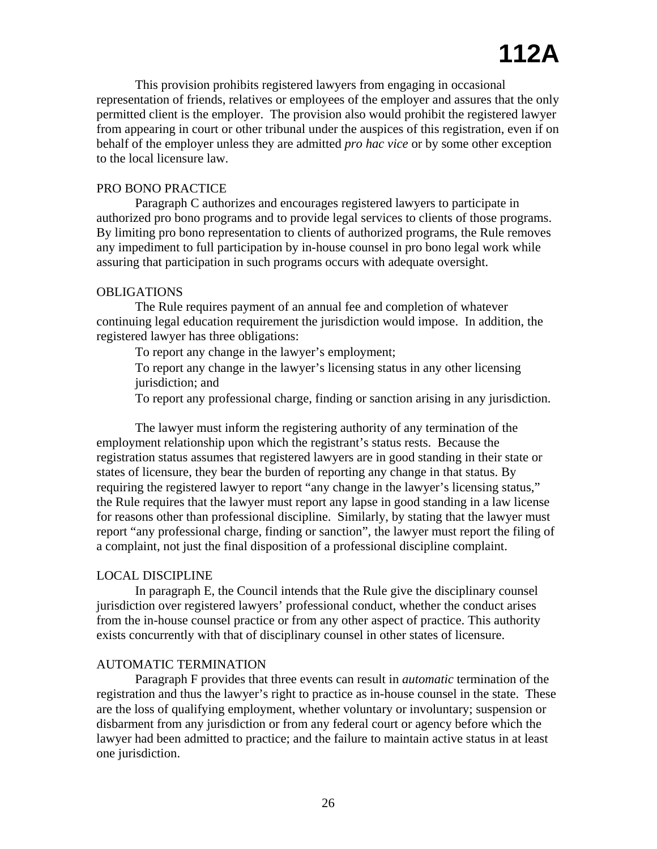This provision prohibits registered lawyers from engaging in occasional representation of friends, relatives or employees of the employer and assures that the only permitted client is the employer. The provision also would prohibit the registered lawyer from appearing in court or other tribunal under the auspices of this registration, even if on behalf of the employer unless they are admitted *pro hac vice* or by some other exception to the local licensure law.

### PRO BONO PRACTICE

Paragraph C authorizes and encourages registered lawyers to participate in authorized pro bono programs and to provide legal services to clients of those programs. By limiting pro bono representation to clients of authorized programs, the Rule removes any impediment to full participation by in-house counsel in pro bono legal work while assuring that participation in such programs occurs with adequate oversight.

### OBLIGATIONS

The Rule requires payment of an annual fee and completion of whatever continuing legal education requirement the jurisdiction would impose. In addition, the registered lawyer has three obligations:

To report any change in the lawyer's employment;

To report any change in the lawyer's licensing status in any other licensing jurisdiction; and

To report any professional charge, finding or sanction arising in any jurisdiction.

The lawyer must inform the registering authority of any termination of the employment relationship upon which the registrant's status rests. Because the registration status assumes that registered lawyers are in good standing in their state or states of licensure, they bear the burden of reporting any change in that status. By requiring the registered lawyer to report "any change in the lawyer's licensing status," the Rule requires that the lawyer must report any lapse in good standing in a law license for reasons other than professional discipline. Similarly, by stating that the lawyer must report "any professional charge, finding or sanction", the lawyer must report the filing of a complaint, not just the final disposition of a professional discipline complaint.

### LOCAL DISCIPLINE

In paragraph E, the Council intends that the Rule give the disciplinary counsel jurisdiction over registered lawyers' professional conduct, whether the conduct arises from the in-house counsel practice or from any other aspect of practice. This authority exists concurrently with that of disciplinary counsel in other states of licensure.

#### AUTOMATIC TERMINATION

Paragraph F provides that three events can result in *automatic* termination of the registration and thus the lawyer's right to practice as in-house counsel in the state. These are the loss of qualifying employment, whether voluntary or involuntary; suspension or disbarment from any jurisdiction or from any federal court or agency before which the lawyer had been admitted to practice; and the failure to maintain active status in at least one jurisdiction.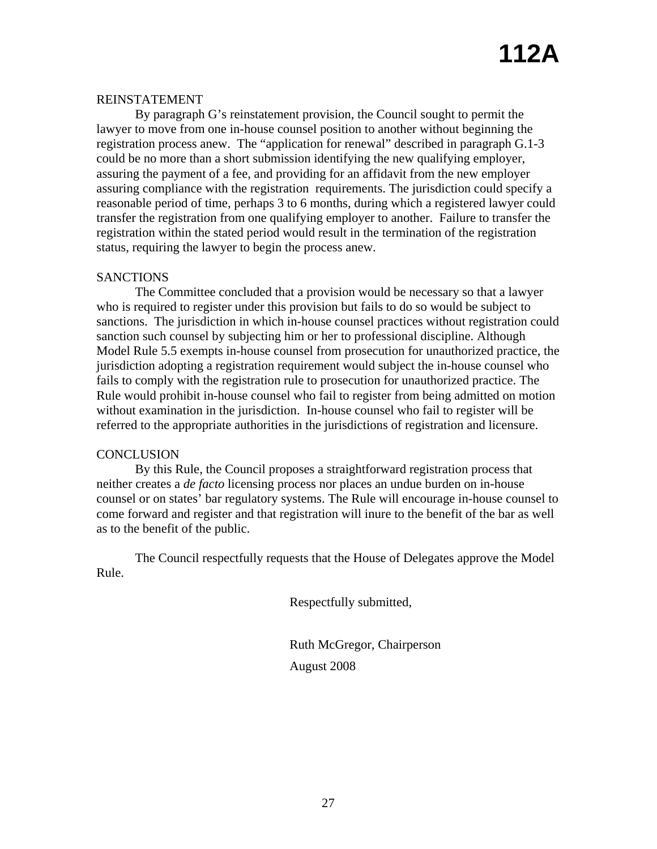### REINSTATEMENT

By paragraph G's reinstatement provision, the Council sought to permit the lawyer to move from one in-house counsel position to another without beginning the registration process anew. The "application for renewal" described in paragraph G.1-3 could be no more than a short submission identifying the new qualifying employer, assuring the payment of a fee, and providing for an affidavit from the new employer assuring compliance with the registration requirements. The jurisdiction could specify a reasonable period of time, perhaps 3 to 6 months, during which a registered lawyer could transfer the registration from one qualifying employer to another. Failure to transfer the registration within the stated period would result in the termination of the registration status, requiring the lawyer to begin the process anew.

### **SANCTIONS**

The Committee concluded that a provision would be necessary so that a lawyer who is required to register under this provision but fails to do so would be subject to sanctions. The jurisdiction in which in-house counsel practices without registration could sanction such counsel by subjecting him or her to professional discipline. Although Model Rule 5.5 exempts in-house counsel from prosecution for unauthorized practice, the jurisdiction adopting a registration requirement would subject the in-house counsel who fails to comply with the registration rule to prosecution for unauthorized practice. The Rule would prohibit in-house counsel who fail to register from being admitted on motion without examination in the jurisdiction. In-house counsel who fail to register will be referred to the appropriate authorities in the jurisdictions of registration and licensure.

### **CONCLUSION**

By this Rule, the Council proposes a straightforward registration process that neither creates a *de facto* licensing process nor places an undue burden on in-house counsel or on states' bar regulatory systems. The Rule will encourage in-house counsel to come forward and register and that registration will inure to the benefit of the bar as well as to the benefit of the public.

The Council respectfully requests that the House of Delegates approve the Model Rule.

Respectfully submitted,

Ruth McGregor, Chairperson August 2008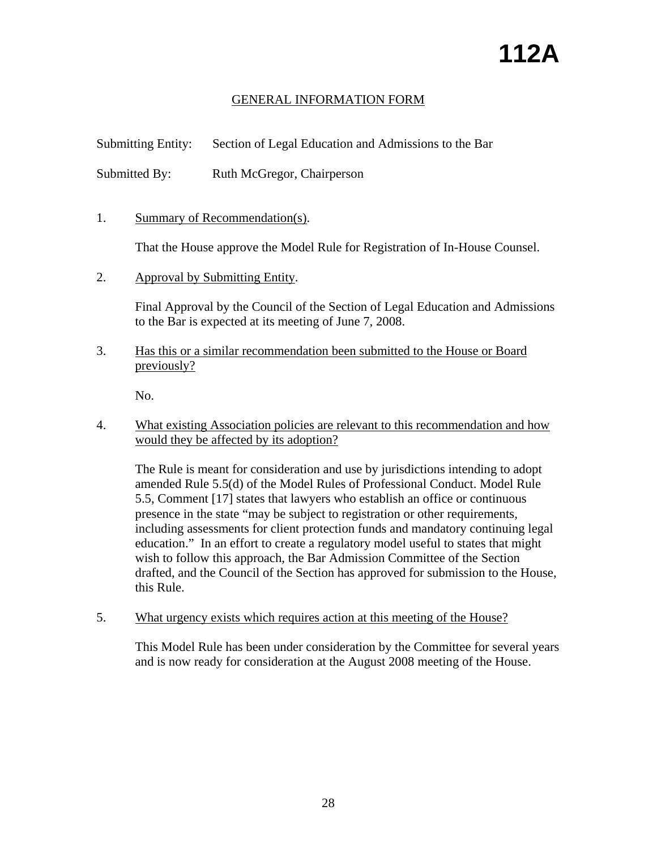# GENERAL INFORMATION FORM

Submitting Entity: Section of Legal Education and Admissions to the Bar

Submitted By: Ruth McGregor, Chairperson

1. Summary of Recommendation(s).

That the House approve the Model Rule for Registration of In-House Counsel.

2. Approval by Submitting Entity.

Final Approval by the Council of the Section of Legal Education and Admissions to the Bar is expected at its meeting of June 7, 2008.

3. UHas this or a similar recommendation been submitted to the House or Board previously?

No.

4. UWhat existing Association policies are relevant to this recommendation and how would they be affected by its adoption?

The Rule is meant for consideration and use by jurisdictions intending to adopt amended Rule 5.5(d) of the Model Rules of Professional Conduct. Model Rule 5.5, Comment [17] states that lawyers who establish an office or continuous presence in the state "may be subject to registration or other requirements, including assessments for client protection funds and mandatory continuing legal education." In an effort to create a regulatory model useful to states that might wish to follow this approach, the Bar Admission Committee of the Section drafted, and the Council of the Section has approved for submission to the House, this Rule.

5. What urgency exists which requires action at this meeting of the House?

This Model Rule has been under consideration by the Committee for several years and is now ready for consideration at the August 2008 meeting of the House.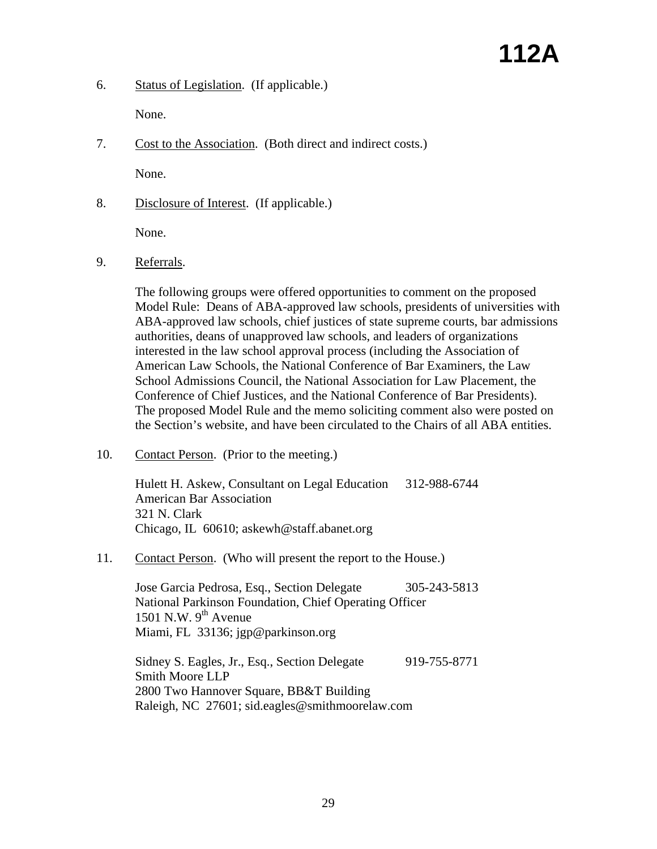6. Status of Legislation. (If applicable.)

None.

7. Cost to the Association. (Both direct and indirect costs.)

None.

8. Disclosure of Interest. (If applicable.)

None.

9. Referrals.

The following groups were offered opportunities to comment on the proposed Model Rule: Deans of ABA-approved law schools, presidents of universities with ABA-approved law schools, chief justices of state supreme courts, bar admissions authorities, deans of unapproved law schools, and leaders of organizations interested in the law school approval process (including the Association of American Law Schools, the National Conference of Bar Examiners, the Law School Admissions Council, the National Association for Law Placement, the Conference of Chief Justices, and the National Conference of Bar Presidents). The proposed Model Rule and the memo soliciting comment also were posted on the Section's website, and have been circulated to the Chairs of all ABA entities.

10. Contact Person. (Prior to the meeting.)

Hulett H. Askew, Consultant on Legal Education 312-988-6744 American Bar Association 321 N. Clark Chicago, IL 60610; askewh@staff.abanet.org

11. Contact Person. (Who will present the report to the House.)

Jose Garcia Pedrosa, Esq., Section Delegate 305-243-5813 National Parkinson Foundation, Chief Operating Officer 1501 N.W.  $9^{th}$  Avenue Miami, FL 33136; jgp@parkinson.org

Sidney S. Eagles, Jr., Esq., Section Delegate 919-755-8771 Smith Moore LLP 2800 Two Hannover Square, BB&T Building Raleigh, NC 27601; sid.eagles@smithmoorelaw.com